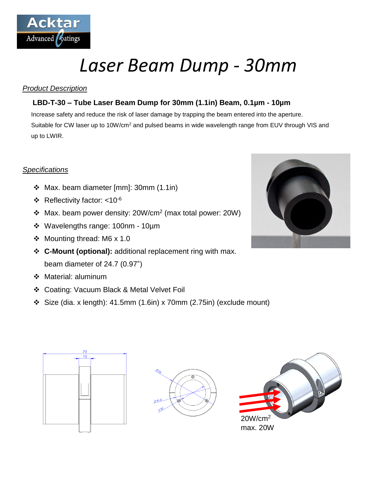

# *Laser Beam Dump - 30mm*

## *Product Description*

## **LBD-T-30 – Tube Laser Beam Dump for 30mm (1.1in) Beam, 0.1µm - 10µm**

Increase safety and reduce the risk of laser damage by trapping the beam entered into the aperture. Suitable for CW laser up to 10W/cm<sup>2</sup> and pulsed beams in wide wavelength range from EUV through VIS and up to LWIR.

## *Specifications*

- Max. beam diameter [mm]: 30mm (1.1in)
- $\div$  Reflectivity factor: <10<sup>-6</sup>
- Max. beam power density: 20W/cm<sup>2</sup> (max total power: 20W)
- Wavelengths range: 100nm 10µm
- Mounting thread: M6 x 1.0
- **C-Mount (optional):** additional replacement ring with max. beam diameter of 24.7 (0.97")
- Material: aluminum
- Coating: Vacuum Black & Metal Velvet Foil
- $\div$  Size (dia. x length): 41.5mm (1.6in) x 70mm (2.75in) (exclude mount)



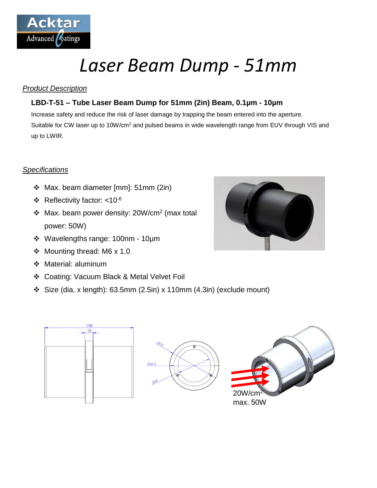

# *Laser Beam Dump - 51mm*

## *Product Description*

## **LBD-T-51 – Tube Laser Beam Dump for 51mm (2in) Beam, 0.1µm - 10µm**

Increase safety and reduce the risk of laser damage by trapping the beam entered into the aperture. Suitable for CW laser up to 10W/cm<sup>2</sup> and pulsed beams in wide wavelength range from EUV through VIS and up to LWIR.

## *Specifications*

- Max. beam diameter [mm]: 51mm (2in)
- $\div$  Reflectivity factor: <10<sup>-6</sup>
- $\div$  Max. beam power density: 20W/cm<sup>2</sup> (max total power: 50W)
- Wavelengths range: 100nm 10µm
- Mounting thread: M6 x 1.0
- Material: aluminum
- Coating: Vacuum Black & Metal Velvet Foil
- Size (dia. x length): 63.5mm (2.5in) x 110mm (4.3in) (exclude mount)